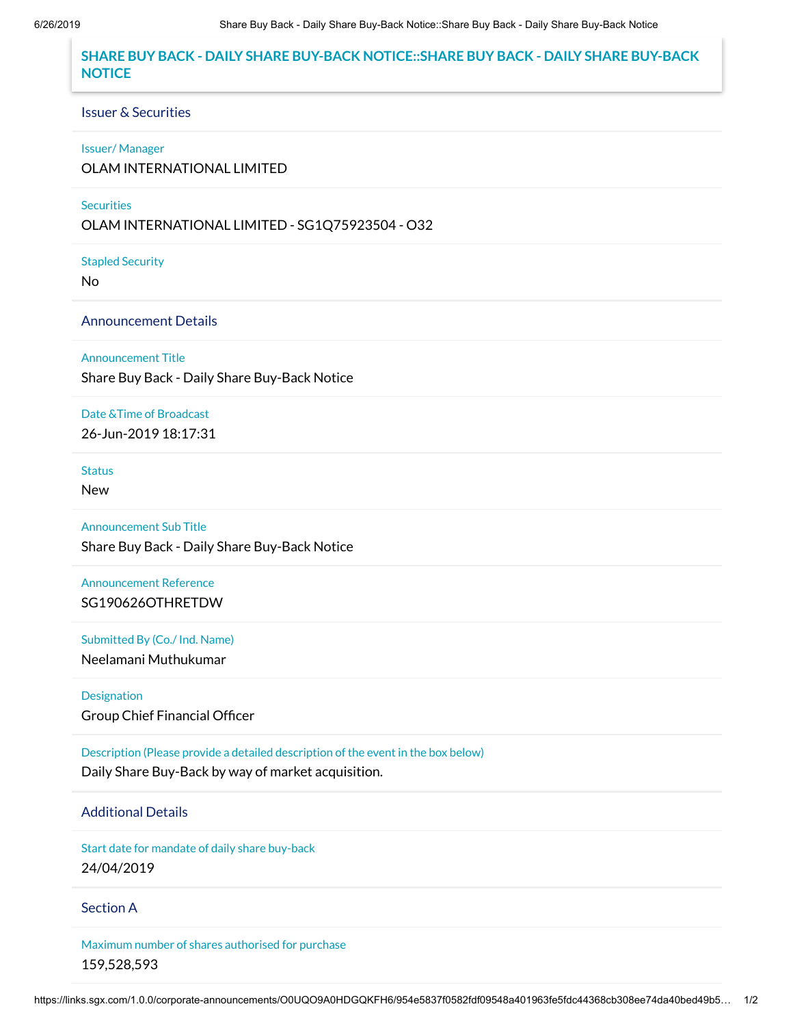# **SHARE BUY BACK - DAILY SHARE BUY-BACK NOTICE::SHARE BUY BACK - DAILY SHARE BUY-BACK NOTICE**

### Issuer & Securities

### Issuer/ Manager

OLAM INTERNATIONAL LIMITED

### **Securities**

OLAM INTERNATIONAL LIMITED - SG1Q75923504 - O32

Stapled Security

No

## Announcement Details

Announcement Title

Share Buy Back - Daily Share Buy-Back Notice

Date &Time of Broadcast

26-Jun-2019 18:17:31

**Status** 

New

Announcement Sub Title Share Buy Back - Daily Share Buy-Back Notice

Announcement Reference SG190626OTHRETDW

Submitted By (Co./ Ind. Name) Neelamani Muthukumar

Designation Group Chief Financial Officer

Description (Please provide a detailed description of the event in the box below) Daily Share Buy-Back by way of market acquisition.

# Additional Details

Start date for mandate of daily share buy-back 24/04/2019

### Section A

Maximum number of shares authorised for purchase 159,528,593